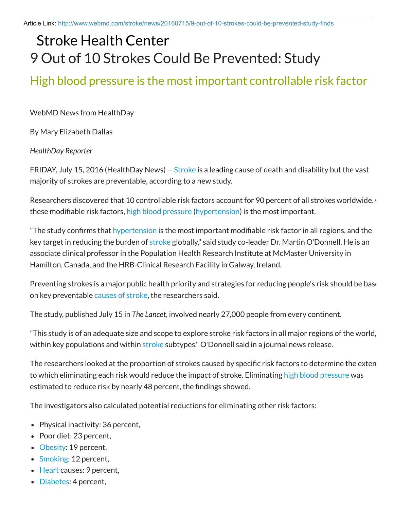Article Link: http://www.webmd.com/stroke/news/20160715/9-out-of-10-strokes-could-be-prevented-study-finds

## Stroke Health Center 9 Out of 10 Strokes Could Be Prevented: Study

## High blood pressure is the most important controllable risk factor

WebMD News from HealthDay

By Mary Elizabeth Dallas

*HealthDay Reporter*

FRIDAY, July 15, 2016 (HealthDay News) -- Stroke is a leading cause of death and disability but the vast majority of strokes are preventable, according to a new study.

Researchers discovered that 10 controllable risk factors account for 90 percent of all strokes worldwide. Of these modifiable risk factors, high blood pressure (hypertension) is the most important.

"The study confirms that hypertension is the most important modifiable risk factor in all regions, and the key target in reducing the burden of stroke globally," said study co-leader Dr. Martin O'Donnell. He is an associate clinical professor in the Population Health Research Institute at McMaster University in Hamilton, Canada, and the HRB-Clinical Research Facility in Galway, Ireland.

Preventing strokes is a major public health priority and strategies for reducing people's risk should be base on key preventable causes of stroke, the researchers said.

The study, published July 15 in *The Lancet*, involved nearly 27,000 people from every continent.

"This study is of an adequate size and scope to explore stroke risk factors in all major regions of the world, within key populations and within stroke subtypes," O'Donnell said in a journal news release.

The researchers looked at the proportion of strokes caused by specific risk factors to determine the exten to which eliminating each risk would reduce the impact of stroke. Eliminating high blood pressure was estimated to reduce risk by nearly 48 percent, the findings showed.

The investigators also calculated potential reductions for eliminating other risk factors:

- Physical inactivity: 36 percent,
- Poor diet: 23 percent,
- Obesity: 19 percent,
- Smoking: 12 percent,
- Heart causes: 9 percent,
- Diabetes: 4 percent,